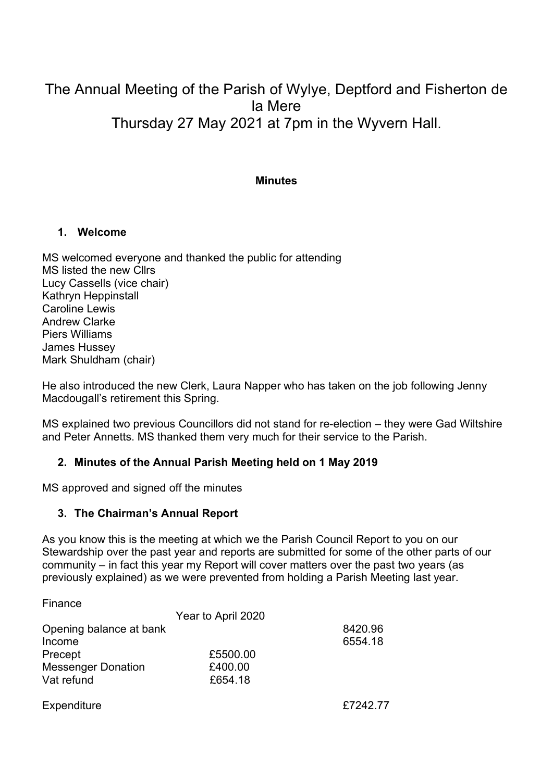# The Annual Meeting of the Parish of Wylye, Deptford and Fisherton de la Mere Thursday 27 May 2021 at 7pm in the Wyvern Hall.

#### **Minutes**

#### 1. Welcome

MS welcomed everyone and thanked the public for attending MS listed the new Cllrs Lucy Cassells (vice chair) Kathryn Heppinstall Caroline Lewis Andrew Clarke Piers Williams James Hussey Mark Shuldham (chair)

He also introduced the new Clerk, Laura Napper who has taken on the job following Jenny Macdougall's retirement this Spring.

MS explained two previous Councillors did not stand for re-election – they were Gad Wiltshire and Peter Annetts. MS thanked them very much for their service to the Parish.

#### 2. Minutes of the Annual Parish Meeting held on 1 May 2019

MS approved and signed off the minutes

#### 3. The Chairman's Annual Report

As you know this is the meeting at which we the Parish Council Report to you on our Stewardship over the past year and reports are submitted for some of the other parts of our community – in fact this year my Report will cover matters over the past two years (as previously explained) as we were prevented from holding a Parish Meeting last year.

| Finance                   |                    |         |
|---------------------------|--------------------|---------|
|                           | Year to April 2020 |         |
| Opening balance at bank   |                    | 8420.96 |
| Income                    |                    | 6554.18 |
| Precept                   | £5500.00           |         |
| <b>Messenger Donation</b> | £400.00            |         |
| Vat refund                | £654.18            |         |
|                           |                    |         |

Expenditure **Expenditure EXPENDITURE 2018**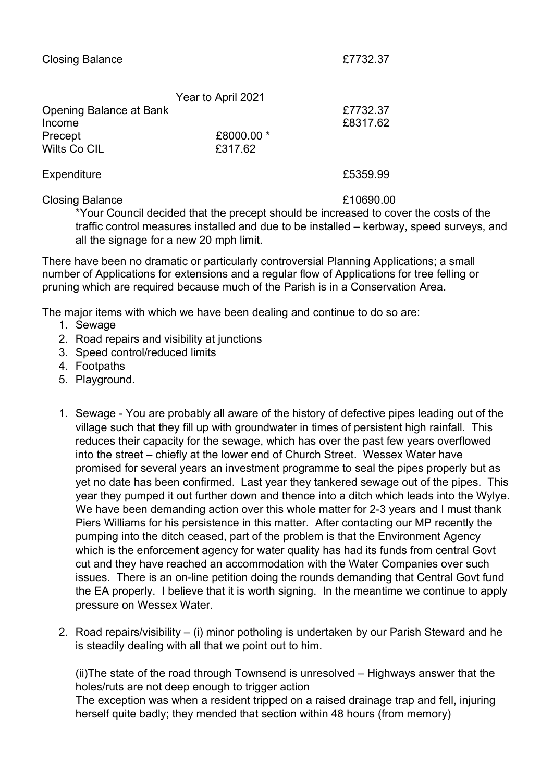|                         | Year to April 2021 |          |
|-------------------------|--------------------|----------|
| Opening Balance at Bank |                    | £7732.37 |
| Income                  |                    | £8317.62 |
| Precept                 | £8000.00 *         |          |
| Wilts Co CIL            | £317.62            |          |
|                         |                    |          |

Expenditure **Expenditure Expenditure Expenditure E5359.99** 

Closing Balance **E10690.00** 

\*Your Council decided that the precept should be increased to cover the costs of the traffic control measures installed and due to be installed – kerbway, speed surveys, and

all the signage for a new 20 mph limit. There have been no dramatic or particularly controversial Planning Applications; a small

number of Applications for extensions and a regular flow of Applications for tree felling or pruning which are required because much of the Parish is in a Conservation Area.

The major items with which we have been dealing and continue to do so are:

- 1. Sewage
- 2. Road repairs and visibility at junctions
- 3. Speed control/reduced limits
- 4. Footpaths
- 5. Playground.
- 1. Sewage You are probably all aware of the history of defective pipes leading out of the village such that they fill up with groundwater in times of persistent high rainfall. This reduces their capacity for the sewage, which has over the past few years overflowed into the street – chiefly at the lower end of Church Street. Wessex Water have promised for several years an investment programme to seal the pipes properly but as yet no date has been confirmed. Last year they tankered sewage out of the pipes. This year they pumped it out further down and thence into a ditch which leads into the Wylye. We have been demanding action over this whole matter for 2-3 years and I must thank Piers Williams for his persistence in this matter. After contacting our MP recently the pumping into the ditch ceased, part of the problem is that the Environment Agency which is the enforcement agency for water quality has had its funds from central Govt cut and they have reached an accommodation with the Water Companies over such issues. There is an on-line petition doing the rounds demanding that Central Govt fund the EA properly. I believe that it is worth signing. In the meantime we continue to apply pressure on Wessex Water.
- 2. Road repairs/visibility (i) minor potholing is undertaken by our Parish Steward and he is steadily dealing with all that we point out to him.

(ii)The state of the road through Townsend is unresolved – Highways answer that the holes/ruts are not deep enough to trigger action The exception was when a resident tripped on a raised drainage trap and fell, injuring herself quite badly; they mended that section within 48 hours (from memory)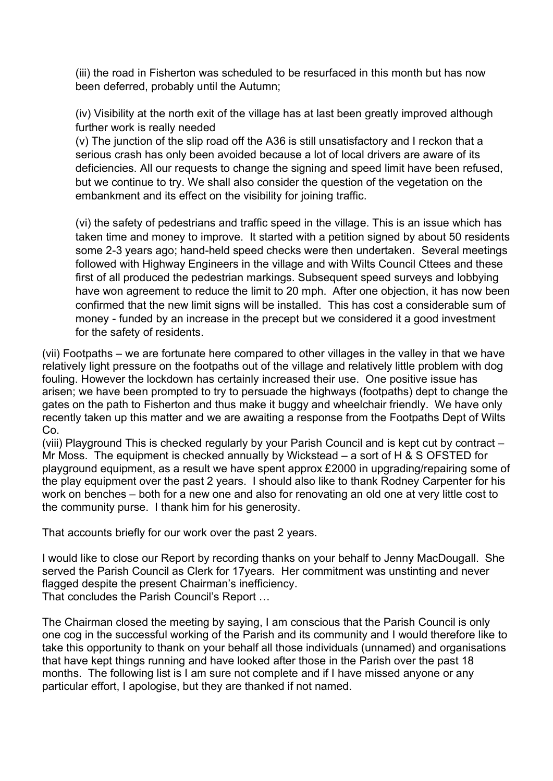(iii) the road in Fisherton was scheduled to be resurfaced in this month but has now been deferred, probably until the Autumn;

(iv) Visibility at the north exit of the village has at last been greatly improved although further work is really needed

(v) The junction of the slip road off the A36 is still unsatisfactory and I reckon that a serious crash has only been avoided because a lot of local drivers are aware of its deficiencies. All our requests to change the signing and speed limit have been refused, but we continue to try. We shall also consider the question of the vegetation on the embankment and its effect on the visibility for joining traffic.

(vi) the safety of pedestrians and traffic speed in the village. This is an issue which has taken time and money to improve. It started with a petition signed by about 50 residents some 2-3 years ago; hand-held speed checks were then undertaken. Several meetings followed with Highway Engineers in the village and with Wilts Council Cttees and these first of all produced the pedestrian markings. Subsequent speed surveys and lobbying have won agreement to reduce the limit to 20 mph. After one objection, it has now been confirmed that the new limit signs will be installed. This has cost a considerable sum of money - funded by an increase in the precept but we considered it a good investment for the safety of residents.

(vii) Footpaths – we are fortunate here compared to other villages in the valley in that we have relatively light pressure on the footpaths out of the village and relatively little problem with dog fouling. However the lockdown has certainly increased their use. One positive issue has arisen; we have been prompted to try to persuade the highways (footpaths) dept to change the gates on the path to Fisherton and thus make it buggy and wheelchair friendly. We have only recently taken up this matter and we are awaiting a response from the Footpaths Dept of Wilts Co.

(viii) Playground This is checked regularly by your Parish Council and is kept cut by contract – Mr Moss. The equipment is checked annually by Wickstead – a sort of H & S OFSTED for playground equipment, as a result we have spent approx £2000 in upgrading/repairing some of the play equipment over the past 2 years. I should also like to thank Rodney Carpenter for his work on benches – both for a new one and also for renovating an old one at very little cost to the community purse. I thank him for his generosity.

That accounts briefly for our work over the past 2 years.

I would like to close our Report by recording thanks on your behalf to Jenny MacDougall. She served the Parish Council as Clerk for 17years. Her commitment was unstinting and never flagged despite the present Chairman's inefficiency. That concludes the Parish Council's Report …

The Chairman closed the meeting by saying, I am conscious that the Parish Council is only one cog in the successful working of the Parish and its community and I would therefore like to take this opportunity to thank on your behalf all those individuals (unnamed) and organisations that have kept things running and have looked after those in the Parish over the past 18 months. The following list is I am sure not complete and if I have missed anyone or any particular effort, I apologise, but they are thanked if not named.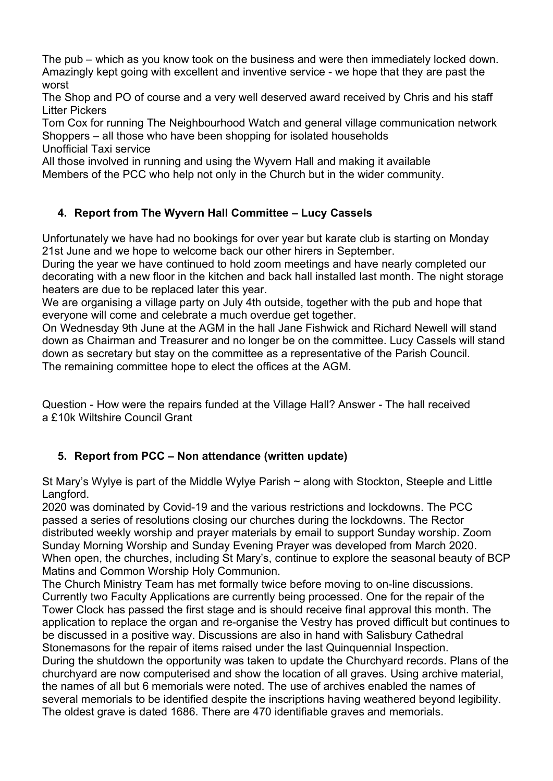The pub – which as you know took on the business and were then immediately locked down. Amazingly kept going with excellent and inventive service - we hope that they are past the worst

The Shop and PO of course and a very well deserved award received by Chris and his staff Litter Pickers

Tom Cox for running The Neighbourhood Watch and general village communication network Shoppers – all those who have been shopping for isolated households Unofficial Taxi service

All those involved in running and using the Wyvern Hall and making it available

Members of the PCC who help not only in the Church but in the wider community.

# 4. Report from The Wyvern Hall Committee – Lucy Cassels

Unfortunately we have had no bookings for over year but karate club is starting on Monday 21st June and we hope to welcome back our other hirers in September.

During the year we have continued to hold zoom meetings and have nearly completed our decorating with a new floor in the kitchen and back hall installed last month. The night storage heaters are due to be replaced later this year.

We are organising a village party on July 4th outside, together with the pub and hope that everyone will come and celebrate a much overdue get together.

On Wednesday 9th June at the AGM in the hall Jane Fishwick and Richard Newell will stand down as Chairman and Treasurer and no longer be on the committee. Lucy Cassels will stand down as secretary but stay on the committee as a representative of the Parish Council. The remaining committee hope to elect the offices at the AGM.

Question - How were the repairs funded at the Village Hall? Answer - The hall received a £10k Wiltshire Council Grant

# 5. Report from PCC – Non attendance (written update)

St Mary's Wylye is part of the Middle Wylye Parish  $\sim$  along with Stockton, Steeple and Little Langford.

2020 was dominated by Covid-19 and the various restrictions and lockdowns. The PCC passed a series of resolutions closing our churches during the lockdowns. The Rector distributed weekly worship and prayer materials by email to support Sunday worship. Zoom Sunday Morning Worship and Sunday Evening Prayer was developed from March 2020. When open, the churches, including St Mary's, continue to explore the seasonal beauty of BCP Matins and Common Worship Holy Communion.

The Church Ministry Team has met formally twice before moving to on-line discussions. Currently two Faculty Applications are currently being processed. One for the repair of the Tower Clock has passed the first stage and is should receive final approval this month. The application to replace the organ and re-organise the Vestry has proved difficult but continues to be discussed in a positive way. Discussions are also in hand with Salisbury Cathedral Stonemasons for the repair of items raised under the last Quinquennial Inspection. During the shutdown the opportunity was taken to update the Churchyard records. Plans of the churchyard are now computerised and show the location of all graves. Using archive material, the names of all but 6 memorials were noted. The use of archives enabled the names of several memorials to be identified despite the inscriptions having weathered beyond legibility. The oldest grave is dated 1686. There are 470 identifiable graves and memorials.